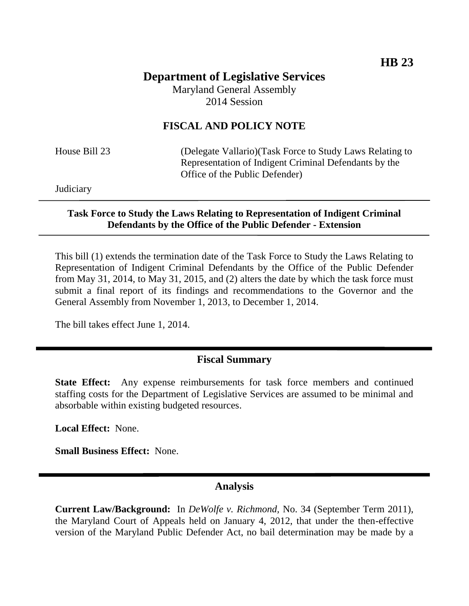# **Department of Legislative Services** Maryland General Assembly

2014 Session

## **FISCAL AND POLICY NOTE**

House Bill 23 (Delegate Vallario)(Task Force to Study Laws Relating to Representation of Indigent Criminal Defendants by the Office of the Public Defender)

**Judiciary** 

#### **Task Force to Study the Laws Relating to Representation of Indigent Criminal Defendants by the Office of the Public Defender - Extension**

This bill (1) extends the termination date of the Task Force to Study the Laws Relating to Representation of Indigent Criminal Defendants by the Office of the Public Defender from May 31, 2014, to May 31, 2015, and (2) alters the date by which the task force must submit a final report of its findings and recommendations to the Governor and the General Assembly from November 1, 2013, to December 1, 2014.

The bill takes effect June 1, 2014.

## **Fiscal Summary**

**State Effect:** Any expense reimbursements for task force members and continued staffing costs for the Department of Legislative Services are assumed to be minimal and absorbable within existing budgeted resources.

**Local Effect:** None.

**Small Business Effect:** None.

#### **Analysis**

**Current Law/Background:** In *DeWolfe v. Richmond,* No. 34 (September Term 2011), the Maryland Court of Appeals held on January 4, 2012, that under the then-effective version of the Maryland Public Defender Act, no bail determination may be made by a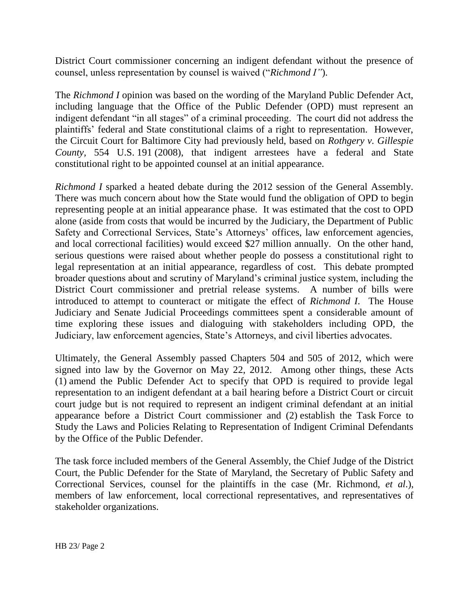District Court commissioner concerning an indigent defendant without the presence of counsel, unless representation by counsel is waived ("*Richmond I"*).

The *Richmond I* opinion was based on the wording of the Maryland Public Defender Act, including language that the Office of the Public Defender (OPD) must represent an indigent defendant "in all stages" of a criminal proceeding. The court did not address the plaintiffs' federal and State constitutional claims of a right to representation. However, the Circuit Court for Baltimore City had previously held, based on *Rothgery v. Gillespie County,* 554 U.S. 191 (2008), that indigent arrestees have a federal and State constitutional right to be appointed counsel at an initial appearance.

*Richmond I* sparked a heated debate during the 2012 session of the General Assembly. There was much concern about how the State would fund the obligation of OPD to begin representing people at an initial appearance phase. It was estimated that the cost to OPD alone (aside from costs that would be incurred by the Judiciary, the Department of Public Safety and Correctional Services, State's Attorneys' offices, law enforcement agencies, and local correctional facilities) would exceed \$27 million annually. On the other hand, serious questions were raised about whether people do possess a constitutional right to legal representation at an initial appearance, regardless of cost. This debate prompted broader questions about and scrutiny of Maryland's criminal justice system, including the District Court commissioner and pretrial release systems. A number of bills were introduced to attempt to counteract or mitigate the effect of *Richmond I*. The House Judiciary and Senate Judicial Proceedings committees spent a considerable amount of time exploring these issues and dialoguing with stakeholders including OPD, the Judiciary, law enforcement agencies, State's Attorneys, and civil liberties advocates.

Ultimately, the General Assembly passed Chapters 504 and 505 of 2012, which were signed into law by the Governor on May 22, 2012. Among other things, these Acts (1) amend the Public Defender Act to specify that OPD is required to provide legal representation to an indigent defendant at a bail hearing before a District Court or circuit court judge but is not required to represent an indigent criminal defendant at an initial appearance before a District Court commissioner and (2) establish the Task Force to Study the Laws and Policies Relating to Representation of Indigent Criminal Defendants by the Office of the Public Defender.

The task force included members of the General Assembly, the Chief Judge of the District Court, the Public Defender for the State of Maryland, the Secretary of Public Safety and Correctional Services, counsel for the plaintiffs in the case (Mr. Richmond, *et al*.), members of law enforcement, local correctional representatives, and representatives of stakeholder organizations.